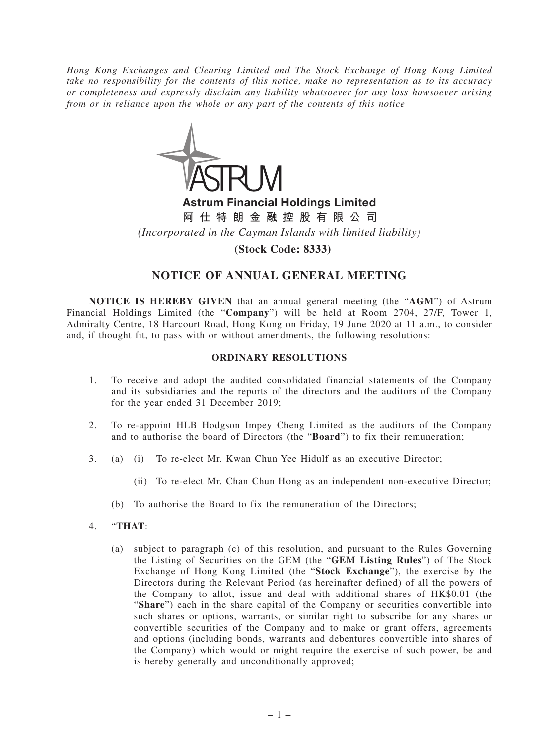*Hong Kong Exchanges and Clearing Limited and The Stock Exchange of Hong Kong Limited take no responsibility for the contents of this notice, make no representation as to its accuracy or completeness and expressly disclaim any liability whatsoever for any loss howsoever arising from or in reliance upon the whole or any part of the contents of this notice*



Astrum Financial Holdings Limited **阿仕特朗金融控股有限公司** *(Incorporated in the Cayman Islands with limited liability)*

**(Stock Code: 8333)**

# **NOTICE OF ANNUAL GENERAL MEETING**

**NOTICE IS HEREBY GIVEN** that an annual general meeting (the "**AGM**") of Astrum Financial Holdings Limited (the "**Company**") will be held at Room 2704, 27/F, Tower 1, Admiralty Centre, 18 Harcourt Road, Hong Kong on Friday, 19 June 2020 at 11 a.m., to consider and, if thought fit, to pass with or without amendments, the following resolutions:

### **ORDINARY RESOLUTIONS**

- 1. To receive and adopt the audited consolidated financial statements of the Company and its subsidiaries and the reports of the directors and the auditors of the Company for the year ended 31 December 2019;
- 2. To re-appoint HLB Hodgson Impey Cheng Limited as the auditors of the Company and to authorise the board of Directors (the "**Board**") to fix their remuneration;
- 3. (a) (i) To re-elect Mr. Kwan Chun Yee Hidulf as an executive Director;
	- (ii) To re-elect Mr. Chan Chun Hong as an independent non-executive Director;
	- (b) To authorise the Board to fix the remuneration of the Directors;
- 4. "**THAT**:
	- (a) subject to paragraph (c) of this resolution, and pursuant to the Rules Governing the Listing of Securities on the GEM (the "**GEM Listing Rules**") of The Stock Exchange of Hong Kong Limited (the "**Stock Exchange**"), the exercise by the Directors during the Relevant Period (as hereinafter defined) of all the powers of the Company to allot, issue and deal with additional shares of HK\$0.01 (the "**Share**") each in the share capital of the Company or securities convertible into such shares or options, warrants, or similar right to subscribe for any shares or convertible securities of the Company and to make or grant offers, agreements and options (including bonds, warrants and debentures convertible into shares of the Company) which would or might require the exercise of such power, be and is hereby generally and unconditionally approved;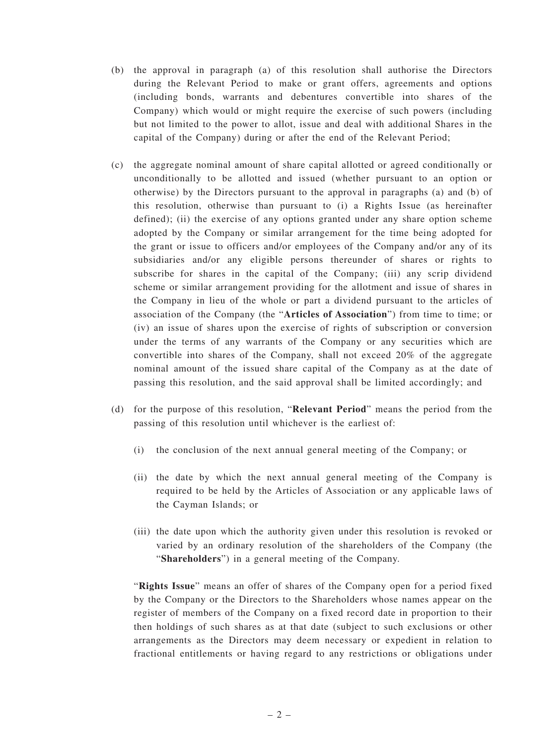- (b) the approval in paragraph (a) of this resolution shall authorise the Directors during the Relevant Period to make or grant offers, agreements and options (including bonds, warrants and debentures convertible into shares of the Company) which would or might require the exercise of such powers (including but not limited to the power to allot, issue and deal with additional Shares in the capital of the Company) during or after the end of the Relevant Period;
- (c) the aggregate nominal amount of share capital allotted or agreed conditionally or unconditionally to be allotted and issued (whether pursuant to an option or otherwise) by the Directors pursuant to the approval in paragraphs (a) and (b) of this resolution, otherwise than pursuant to (i) a Rights Issue (as hereinafter defined); (ii) the exercise of any options granted under any share option scheme adopted by the Company or similar arrangement for the time being adopted for the grant or issue to officers and/or employees of the Company and/or any of its subsidiaries and/or any eligible persons thereunder of shares or rights to subscribe for shares in the capital of the Company; (iii) any scrip dividend scheme or similar arrangement providing for the allotment and issue of shares in the Company in lieu of the whole or part a dividend pursuant to the articles of association of the Company (the "**Articles of Association**") from time to time; or (iv) an issue of shares upon the exercise of rights of subscription or conversion under the terms of any warrants of the Company or any securities which are convertible into shares of the Company, shall not exceed 20% of the aggregate nominal amount of the issued share capital of the Company as at the date of passing this resolution, and the said approval shall be limited accordingly; and
- (d) for the purpose of this resolution, "**Relevant Period**" means the period from the passing of this resolution until whichever is the earliest of:
	- (i) the conclusion of the next annual general meeting of the Company; or
	- (ii) the date by which the next annual general meeting of the Company is required to be held by the Articles of Association or any applicable laws of the Cayman Islands; or
	- (iii) the date upon which the authority given under this resolution is revoked or varied by an ordinary resolution of the shareholders of the Company (the "**Shareholders**") in a general meeting of the Company.

"**Rights Issue**" means an offer of shares of the Company open for a period fixed by the Company or the Directors to the Shareholders whose names appear on the register of members of the Company on a fixed record date in proportion to their then holdings of such shares as at that date (subject to such exclusions or other arrangements as the Directors may deem necessary or expedient in relation to fractional entitlements or having regard to any restrictions or obligations under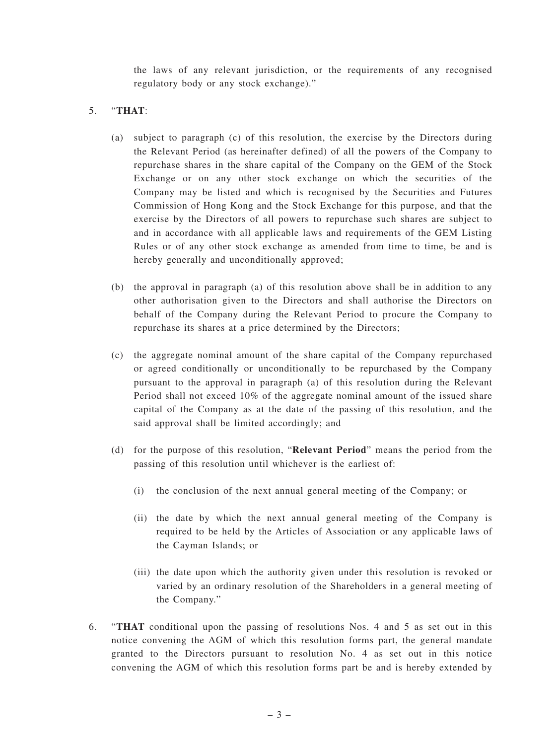the laws of any relevant jurisdiction, or the requirements of any recognised regulatory body or any stock exchange)."

## 5. "**THAT**:

- (a) subject to paragraph (c) of this resolution, the exercise by the Directors during the Relevant Period (as hereinafter defined) of all the powers of the Company to repurchase shares in the share capital of the Company on the GEM of the Stock Exchange or on any other stock exchange on which the securities of the Company may be listed and which is recognised by the Securities and Futures Commission of Hong Kong and the Stock Exchange for this purpose, and that the exercise by the Directors of all powers to repurchase such shares are subject to and in accordance with all applicable laws and requirements of the GEM Listing Rules or of any other stock exchange as amended from time to time, be and is hereby generally and unconditionally approved;
- (b) the approval in paragraph (a) of this resolution above shall be in addition to any other authorisation given to the Directors and shall authorise the Directors on behalf of the Company during the Relevant Period to procure the Company to repurchase its shares at a price determined by the Directors;
- (c) the aggregate nominal amount of the share capital of the Company repurchased or agreed conditionally or unconditionally to be repurchased by the Company pursuant to the approval in paragraph (a) of this resolution during the Relevant Period shall not exceed 10% of the aggregate nominal amount of the issued share capital of the Company as at the date of the passing of this resolution, and the said approval shall be limited accordingly; and
- (d) for the purpose of this resolution, "**Relevant Period**" means the period from the passing of this resolution until whichever is the earliest of:
	- (i) the conclusion of the next annual general meeting of the Company; or
	- (ii) the date by which the next annual general meeting of the Company is required to be held by the Articles of Association or any applicable laws of the Cayman Islands; or
	- (iii) the date upon which the authority given under this resolution is revoked or varied by an ordinary resolution of the Shareholders in a general meeting of the Company."
- 6. "**THAT** conditional upon the passing of resolutions Nos. 4 and 5 as set out in this notice convening the AGM of which this resolution forms part, the general mandate granted to the Directors pursuant to resolution No. 4 as set out in this notice convening the AGM of which this resolution forms part be and is hereby extended by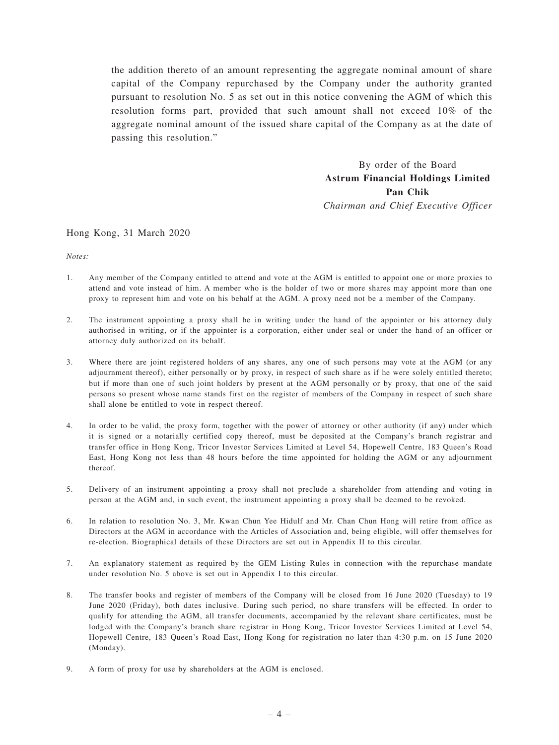the addition thereto of an amount representing the aggregate nominal amount of share capital of the Company repurchased by the Company under the authority granted pursuant to resolution No. 5 as set out in this notice convening the AGM of which this resolution forms part, provided that such amount shall not exceed 10% of the aggregate nominal amount of the issued share capital of the Company as at the date of passing this resolution."

> By order of the Board **Astrum Financial Holdings Limited Pan Chik** *Chairman and Chief Executive Officer*

#### Hong Kong, 31 March 2020

*Notes:*

- 1. Any member of the Company entitled to attend and vote at the AGM is entitled to appoint one or more proxies to attend and vote instead of him. A member who is the holder of two or more shares may appoint more than one proxy to represent him and vote on his behalf at the AGM. A proxy need not be a member of the Company.
- 2. The instrument appointing a proxy shall be in writing under the hand of the appointer or his attorney duly authorised in writing, or if the appointer is a corporation, either under seal or under the hand of an officer or attorney duly authorized on its behalf.
- 3. Where there are joint registered holders of any shares, any one of such persons may vote at the AGM (or any adjournment thereof), either personally or by proxy, in respect of such share as if he were solely entitled thereto; but if more than one of such joint holders by present at the AGM personally or by proxy, that one of the said persons so present whose name stands first on the register of members of the Company in respect of such share shall alone be entitled to vote in respect thereof.
- 4. In order to be valid, the proxy form, together with the power of attorney or other authority (if any) under which it is signed or a notarially certified copy thereof, must be deposited at the Company's branch registrar and transfer office in Hong Kong, Tricor Investor Services Limited at Level 54, Hopewell Centre, 183 Queen's Road East, Hong Kong not less than 48 hours before the time appointed for holding the AGM or any adjournment thereof.
- 5. Delivery of an instrument appointing a proxy shall not preclude a shareholder from attending and voting in person at the AGM and, in such event, the instrument appointing a proxy shall be deemed to be revoked.
- 6. In relation to resolution No. 3, Mr. Kwan Chun Yee Hidulf and Mr. Chan Chun Hong will retire from office as Directors at the AGM in accordance with the Articles of Association and, being eligible, will offer themselves for re-election. Biographical details of these Directors are set out in Appendix II to this circular.
- 7. An explanatory statement as required by the GEM Listing Rules in connection with the repurchase mandate under resolution No. 5 above is set out in Appendix I to this circular.
- 8. The transfer books and register of members of the Company will be closed from 16 June 2020 (Tuesday) to 19 June 2020 (Friday), both dates inclusive. During such period, no share transfers will be effected. In order to qualify for attending the AGM, all transfer documents, accompanied by the relevant share certificates, must be lodged with the Company's branch share registrar in Hong Kong, Tricor Investor Services Limited at Level 54, Hopewell Centre, 183 Queen's Road East, Hong Kong for registration no later than 4:30 p.m. on 15 June 2020 (Monday).
- 9. A form of proxy for use by shareholders at the AGM is enclosed.